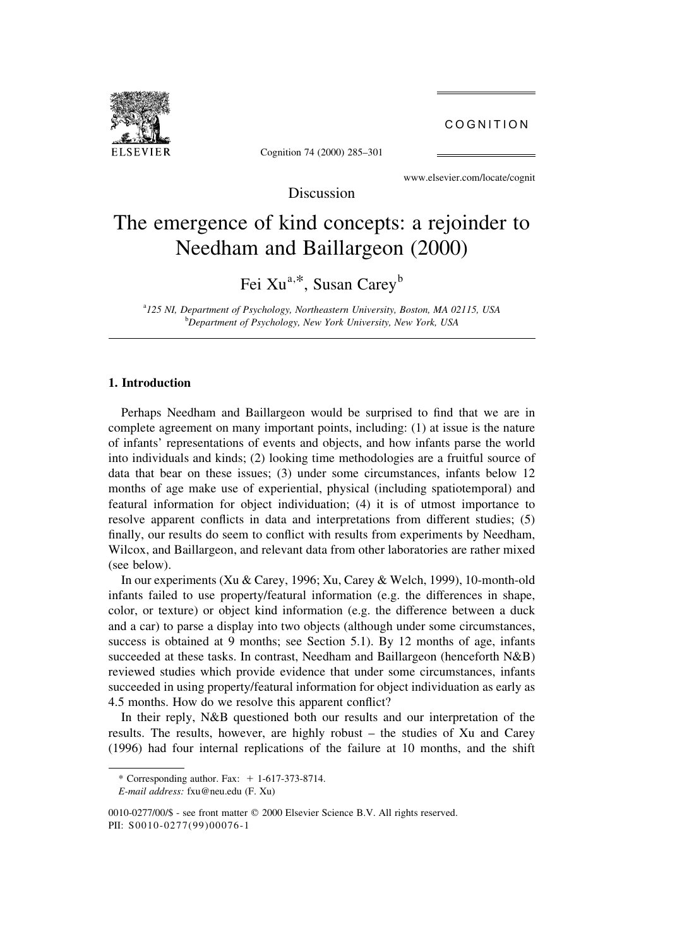COGNITION

Cognition 74 (2000) 285-301

www.elsevier.com/locate/cognit

Discussion

# The emergence of kind concepts: a rejoinder to Needham and Baillargeon (2000)

Fei Xu<sup>a,\*</sup>, Susan Carey<sup>b</sup>

<sup>a</sup>125 NI, Department of Psychology, Northeastern University, Boston, MA 02115, USA <sup>b</sup>Department of Psychology, New York University, New York, USA

## 1. Introduction

Perhaps Needham and Baillargeon would be surprised to find that we are in complete agreement on many important points, including: (1) at issue is the nature of infants' representations of events and objects, and how infants parse the world into individuals and kinds; (2) looking time methodologies are a fruitful source of data that bear on these issues; (3) under some circumstances, infants below 12 months of age make use of experiential, physical (including spatiotemporal) and featural information for object individuation; (4) it is of utmost importance to resolve apparent conflicts in data and interpretations from different studies;  $(5)$ finally, our results do seem to conflict with results from experiments by Needham, Wilcox, and Baillargeon, and relevant data from other laboratories are rather mixed (see below).

In our experiments (Xu & Carey, 1996; Xu, Carey & Welch, 1999), 10-month-old infants failed to use property/featural information (e.g. the differences in shape, color, or texture) or object kind information (e.g. the difference between a duck and a car) to parse a display into two objects (although under some circumstances, success is obtained at 9 months; see Section 5.1). By 12 months of age, infants succeeded at these tasks. In contrast, Needham and Baillargeon (henceforth N&B) reviewed studies which provide evidence that under some circumstances, infants succeeded in using property/featural information for object individuation as early as 4.5 months. How do we resolve this apparent conflict?

In their reply, N&B questioned both our results and our interpretation of the results. The results, however, are highly robust - the studies of Xu and Carey (1996) had four internal replications of the failure at 10 months, and the shift

<sup>\*</sup> Corresponding author. Fax:  $+ 1-617-373-8714$ .

E-mail address: fxu@neu.edu (F. Xu)

<sup>0010-0277/00/\$ -</sup> see front matter © 2000 Elsevier Science B.V. All rights reserved. PII: S0010-0277(99)00076-1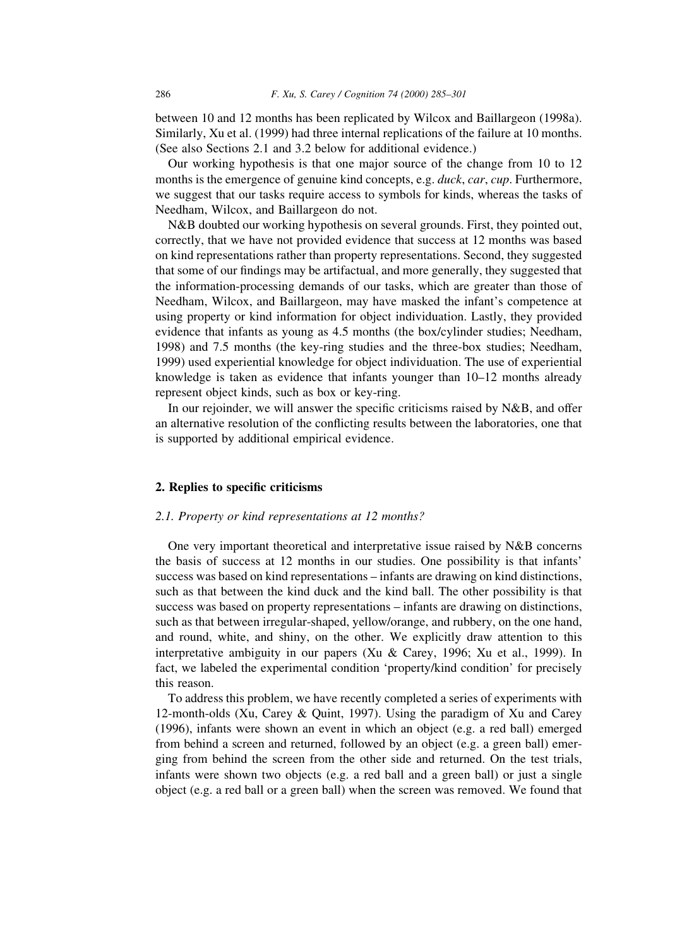between 10 and 12 months has been replicated by Wilcox and Baillargeon (1998a). Similarly, Xu et al. (1999) had three internal replications of the failure at 10 months. (See also Sections 2.1 and 3.2 below for additional evidence.)

Our working hypothesis is that one major source of the change from 10 to 12 months is the emergence of genuine kind concepts, e.g. duck, car, cup. Furthermore, we suggest that our tasks require access to symbols for kinds, whereas the tasks of Needham, Wilcox, and Baillargeon do not.

N&B doubted our working hypothesis on several grounds. First, they pointed out, correctly, that we have not provided evidence that success at 12 months was based on kind representations rather than property representations. Second, they suggested that some of our findings may be artifactual, and more generally, they suggested that the information-processing demands of our tasks, which are greater than those of Needham, Wilcox, and Baillargeon, may have masked the infant's competence at using property or kind information for object individuation. Lastly, they provided evidence that infants as young as 4.5 months (the box/cylinder studies; Needham, 1998) and 7.5 months (the key-ring studies and the three-box studies; Needham, 1999) used experiential knowledge for object individuation. The use of experiential knowledge is taken as evidence that infants younger than 10-12 months already represent object kinds, such as box or key-ring.

In our rejoinder, we will answer the specific criticisms raised by  $N&B$ , and offer an alternative resolution of the conflicting results between the laboratories, one that is supported by additional empirical evidence.

## 2. Replies to specific criticisms

## 2.1. Property or kind representations at 12 months?

One very important theoretical and interpretative issue raised by N&B concerns the basis of success at 12 months in our studies. One possibility is that infants' success was based on kind representations  $-$  infants are drawing on kind distinctions, such as that between the kind duck and the kind ball. The other possibility is that success was based on property representations  $-$  infants are drawing on distinctions, such as that between irregular-shaped, yellow/orange, and rubbery, on the one hand, and round, white, and shiny, on the other. We explicitly draw attention to this interpretative ambiguity in our papers (Xu & Carey, 1996; Xu et al., 1999). In fact, we labeled the experimental condition 'property/kind condition' for precisely this reason.

To address this problem, we have recently completed a series of experiments with 12-month-olds (Xu, Carey & Quint, 1997). Using the paradigm of Xu and Carey (1996), infants were shown an event in which an object (e.g. a red ball) emerged from behind a screen and returned, followed by an object (e.g. a green ball) emerging from behind the screen from the other side and returned. On the test trials, infants were shown two objects (e.g. a red ball and a green ball) or just a single object (e.g. a red ball or a green ball) when the screen was removed. We found that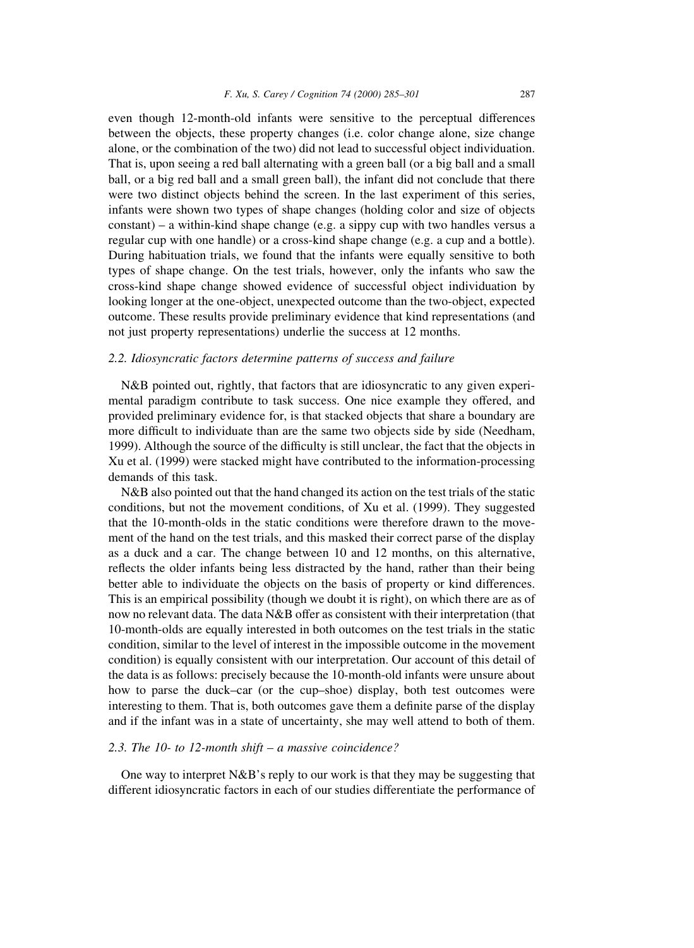even though 12-month-old infants were sensitive to the perceptual differences between the objects, these property changes (i.e. color change alone, size change alone, or the combination of the two) did not lead to successful object individuation. That is, upon seeing a red ball alternating with a green ball (or a big ball and a small ball, or a big red ball and a small green ball), the infant did not conclude that there were two distinct objects behind the screen. In the last experiment of this series, infants were shown two types of shape changes (holding color and size of objects  $constant$ ) – a within-kind shape change (e.g. a sippy cup with two handles versus a regular cup with one handle) or a cross-kind shape change (e.g. a cup and a bottle). During habituation trials, we found that the infants were equally sensitive to both types of shape change. On the test trials, however, only the infants who saw the cross-kind shape change showed evidence of successful object individuation by looking longer at the one-object, unexpected outcome than the two-object, expected outcome. These results provide preliminary evidence that kind representations (and not just property representations) underlie the success at 12 months.

## 2.2. Idiosyncratic factors determine patterns of success and failure

N&B pointed out, rightly, that factors that are idiosyncratic to any given experimental paradigm contribute to task success. One nice example they offered, and provided preliminary evidence for, is that stacked objects that share a boundary are more difficult to individuate than are the same two objects side by side (Needham, 1999). Although the source of the difficulty is still unclear, the fact that the objects in Xu et al. (1999) were stacked might have contributed to the information-processing demands of this task.

N&B also pointed out that the hand changed its action on the test trials of the static conditions, but not the movement conditions, of Xu et al. (1999). They suggested that the 10-month-olds in the static conditions were therefore drawn to the movement of the hand on the test trials, and this masked their correct parse of the display as a duck and a car. The change between 10 and 12 months, on this alternative, reflects the older infants being less distracted by the hand, rather than their being better able to individuate the objects on the basis of property or kind differences. This is an empirical possibility (though we doubt it is right), on which there are as of now no relevant data. The data N&B offer as consistent with their interpretation (that 10-month-olds are equally interested in both outcomes on the test trials in the static condition, similar to the level of interest in the impossible outcome in the movement condition) is equally consistent with our interpretation. Our account of this detail of the data is as follows: precisely because the 10-month-old infants were unsure about how to parse the duck-car (or the cup-shoe) display, both test outcomes were interesting to them. That is, both outcomes gave them a definite parse of the display and if the infant was in a state of uncertainty, she may well attend to both of them.

## 2.3. The 10- to 12-month shift  $-$  a massive coincidence?

One way to interpret N&B's reply to our work is that they may be suggesting that different idiosyncratic factors in each of our studies differentiate the performance of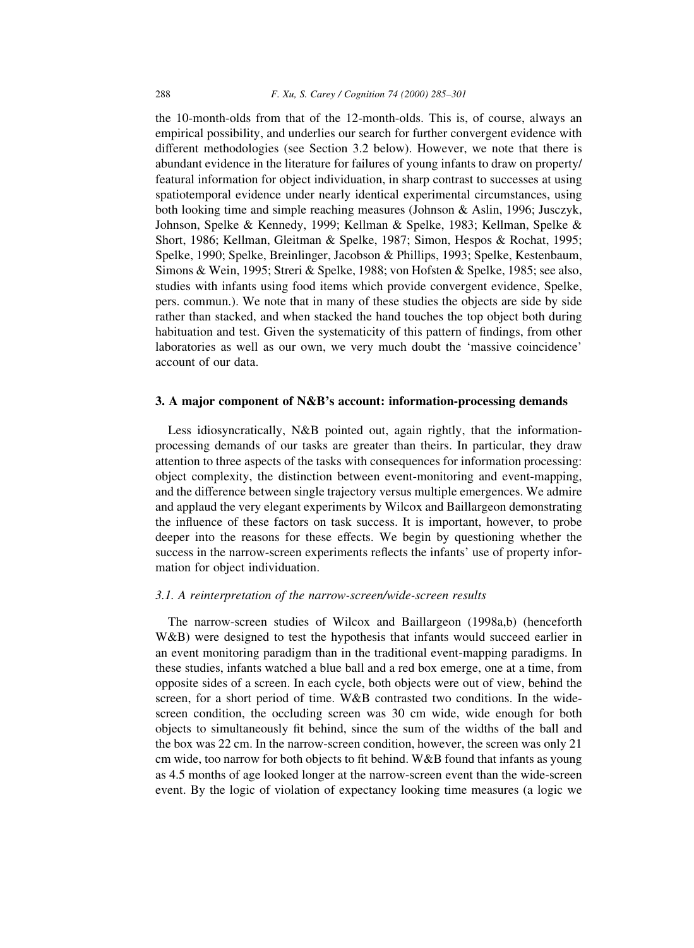the 10-month-olds from that of the 12-month-olds. This is, of course, always an empirical possibility, and underlies our search for further convergent evidence with different methodologies (see Section 3.2 below). However, we note that there is abundant evidence in the literature for failures of young infants to draw on property/ featural information for object individuation, in sharp contrast to successes at using spatiotemporal evidence under nearly identical experimental circumstances, using both looking time and simple reaching measures (Johnson & Aslin, 1996; Jusczyk, Johnson, Spelke & Kennedy, 1999; Kellman & Spelke, 1983; Kellman, Spelke & Short, 1986; Kellman, Gleitman & Spelke, 1987; Simon, Hespos & Rochat, 1995; Spelke, 1990; Spelke, Breinlinger, Jacobson & Phillips, 1993; Spelke, Kestenbaum, Simons & Wein, 1995; Streri & Spelke, 1988; von Hofsten & Spelke, 1985; see also, studies with infants using food items which provide convergent evidence, Spelke, pers. commun.). We note that in many of these studies the objects are side by side rather than stacked, and when stacked the hand touches the top object both during habituation and test. Given the systematicity of this pattern of findings, from other laboratories as well as our own, we very much doubt the 'massive coincidence' account of our data.

## 3. A major component of N&B's account: information-processing demands

Less idiosyncratically, N&B pointed out, again rightly, that the informationprocessing demands of our tasks are greater than theirs. In particular, they draw attention to three aspects of the tasks with consequences for information processing: object complexity, the distinction between event-monitoring and event-mapping, and the difference between single trajectory versus multiple emergences. We admire and applaud the very elegant experiments by Wilcox and Baillargeon demonstrating the influence of these factors on task success. It is important, however, to probe deeper into the reasons for these effects. We begin by questioning whether the success in the narrow-screen experiments reflects the infants' use of property information for object individuation.

## 3.1. A reinterpretation of the narrow-screen/wide-screen results

The narrow-screen studies of Wilcox and Baillargeon (1998a,b) (henceforth W&B) were designed to test the hypothesis that infants would succeed earlier in an event monitoring paradigm than in the traditional event-mapping paradigms. In these studies, infants watched a blue ball and a red box emerge, one at a time, from opposite sides of a screen. In each cycle, both objects were out of view, behind the screen, for a short period of time. W&B contrasted two conditions. In the widescreen condition, the occluding screen was 30 cm wide, wide enough for both objects to simultaneously fit behind, since the sum of the widths of the ball and the box was 22 cm. In the narrow-screen condition, however, the screen was only 21 cm wide, too narrow for both objects to fit behind. W&B found that infants as young as 4.5 months of age looked longer at the narrow-screen event than the wide-screen event. By the logic of violation of expectancy looking time measures (a logic we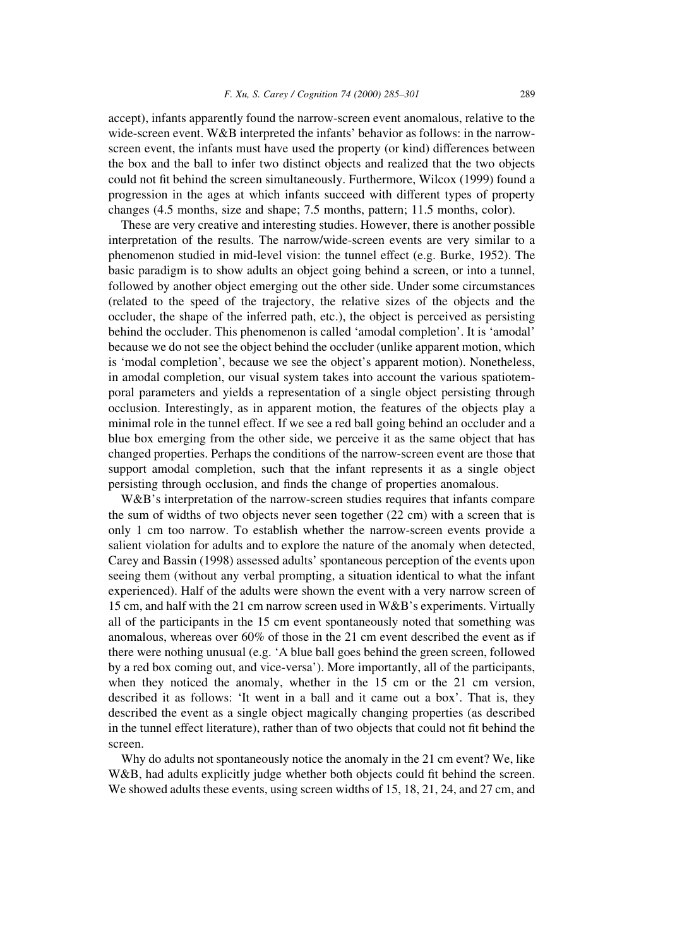accept), infants apparently found the narrow-screen event anomalous, relative to the wide-screen event. W&B interpreted the infants' behavior as follows: in the narrowscreen event, the infants must have used the property (or kind) differences between the box and the ball to infer two distinct objects and realized that the two objects could not fit behind the screen simultaneously. Furthermore, Wilcox (1999) found a progression in the ages at which infants succeed with different types of property changes (4.5 months, size and shape; 7.5 months, pattern; 11.5 months, color).

These are very creative and interesting studies. However, there is another possible interpretation of the results. The narrow/wide-screen events are very similar to a phenomenon studied in mid-level vision: the tunnel effect (e.g. Burke, 1952). The basic paradigm is to show adults an object going behind a screen, or into a tunnel, followed by another object emerging out the other side. Under some circumstances (related to the speed of the trajectory, the relative sizes of the objects and the occluder, the shape of the inferred path, etc.), the object is perceived as persisting behind the occluder. This phenomenon is called 'amodal completion'. It is 'amodal' because we do not see the object behind the occluder (unlike apparent motion, which is `modal completion', because we see the object's apparent motion). Nonetheless, in amodal completion, our visual system takes into account the various spatiotemporal parameters and yields a representation of a single object persisting through occlusion. Interestingly, as in apparent motion, the features of the objects play a minimal role in the tunnel effect. If we see a red ball going behind an occluder and a blue box emerging from the other side, we perceive it as the same object that has changed properties. Perhaps the conditions of the narrow-screen event are those that support amodal completion, such that the infant represents it as a single object persisting through occlusion, and finds the change of properties anomalous.

W&B's interpretation of the narrow-screen studies requires that infants compare the sum of widths of two objects never seen together (22 cm) with a screen that is only 1 cm too narrow. To establish whether the narrow-screen events provide a salient violation for adults and to explore the nature of the anomaly when detected, Carey and Bassin (1998) assessed adults' spontaneous perception of the events upon seeing them (without any verbal prompting, a situation identical to what the infant experienced). Half of the adults were shown the event with a very narrow screen of 15 cm, and half with the 21 cm narrow screen used in W&B's experiments. Virtually all of the participants in the 15 cm event spontaneously noted that something was anomalous, whereas over 60% of those in the 21 cm event described the event as if there were nothing unusual (e.g. `A blue ball goes behind the green screen, followed by a red box coming out, and vice-versa'). More importantly, all of the participants, when they noticed the anomaly, whether in the 15 cm or the 21 cm version, described it as follows: 'It went in a ball and it came out a box'. That is, they described the event as a single object magically changing properties (as described in the tunnel effect literature), rather than of two objects that could not fit behind the screen.

Why do adults not spontaneously notice the anomaly in the 21 cm event? We, like W&B, had adults explicitly judge whether both objects could fit behind the screen. We showed adults these events, using screen widths of 15, 18, 21, 24, and 27 cm, and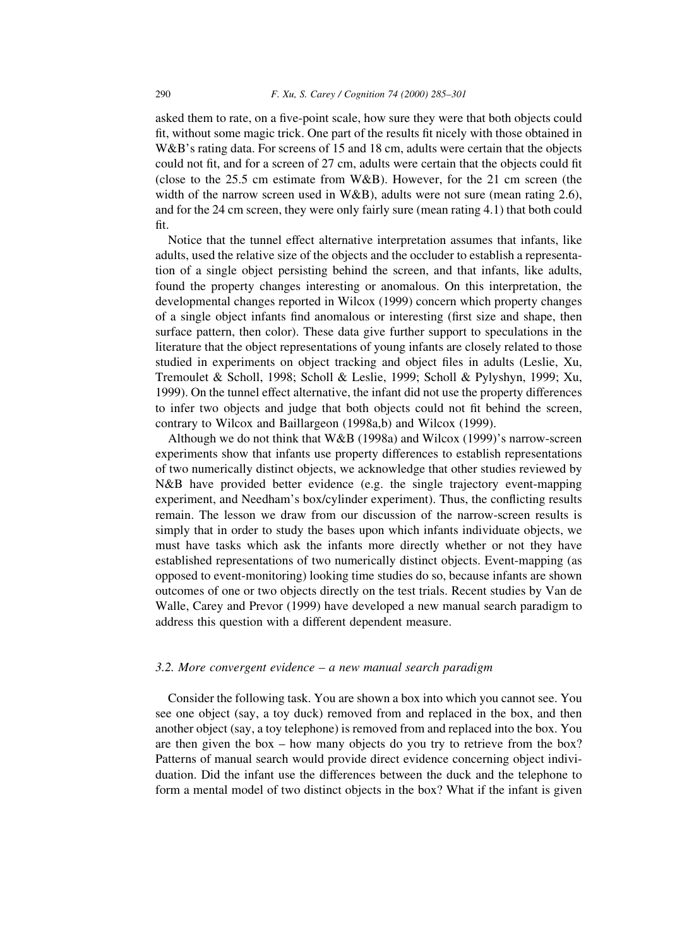asked them to rate, on a five-point scale, how sure they were that both objects could fit, without some magic trick. One part of the results fit nicely with those obtained in W&B's rating data. For screens of 15 and 18 cm, adults were certain that the objects could not fit, and for a screen of  $27 \text{ cm}$ , adults were certain that the objects could fit (close to the 25.5 cm estimate from W&B). However, for the 21 cm screen (the width of the narrow screen used in  $W\&B$ ), adults were not sure (mean rating 2.6), and for the 24 cm screen, they were only fairly sure (mean rating 4.1) that both could  $fit$ 

Notice that the tunnel effect alternative interpretation assumes that infants, like adults, used the relative size of the objects and the occluder to establish a representation of a single object persisting behind the screen, and that infants, like adults, found the property changes interesting or anomalous. On this interpretation, the developmental changes reported in Wilcox (1999) concern which property changes of a single object infants find anomalous or interesting (first size and shape, then surface pattern, then color). These data give further support to speculations in the literature that the object representations of young infants are closely related to those studied in experiments on object tracking and object files in adults (Leslie, Xu, Tremoulet & Scholl, 1998; Scholl & Leslie, 1999; Scholl & Pylyshyn, 1999; Xu, 1999). On the tunnel effect alternative, the infant did not use the property differences to infer two objects and judge that both objects could not fit behind the screen, contrary to Wilcox and Baillargeon (1998a,b) and Wilcox (1999).

Although we do not think that W&B (1998a) and Wilcox (1999)'s narrow-screen experiments show that infants use property differences to establish representations of two numerically distinct objects, we acknowledge that other studies reviewed by N&B have provided better evidence (e.g. the single trajectory event-mapping experiment, and Needham's box/cylinder experiment). Thus, the conflicting results remain. The lesson we draw from our discussion of the narrow-screen results is simply that in order to study the bases upon which infants individuate objects, we must have tasks which ask the infants more directly whether or not they have established representations of two numerically distinct objects. Event-mapping (as opposed to event-monitoring) looking time studies do so, because infants are shown outcomes of one or two objects directly on the test trials. Recent studies by Van de Walle, Carey and Prevor (1999) have developed a new manual search paradigm to address this question with a different dependent measure.

## $3.2.$  More convergent evidence  $-$  a new manual search paradigm

Consider the following task. You are shown a box into which you cannot see. You see one object (say, a toy duck) removed from and replaced in the box, and then another object (say, a toy telephone) is removed from and replaced into the box. You are then given the box  $-$  how many objects do you try to retrieve from the box? Patterns of manual search would provide direct evidence concerning object individuation. Did the infant use the differences between the duck and the telephone to form a mental model of two distinct objects in the box? What if the infant is given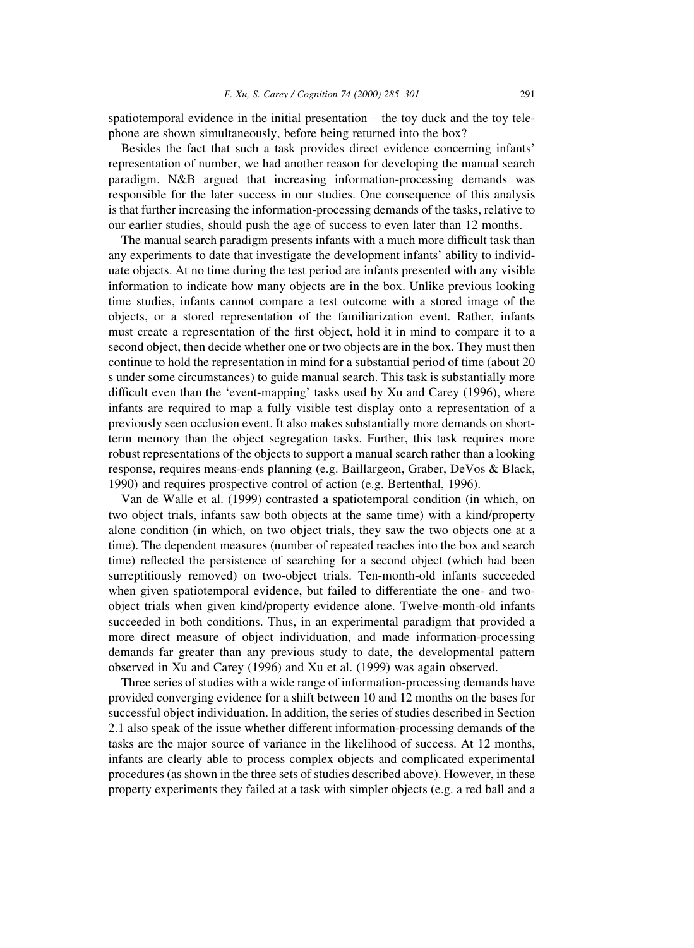spatiotemporal evidence in the initial presentation  $-$  the toy duck and the toy telephone are shown simultaneously, before being returned into the box?

Besides the fact that such a task provides direct evidence concerning infants' representation of number, we had another reason for developing the manual search paradigm. N&B argued that increasing information-processing demands was responsible for the later success in our studies. One consequence of this analysis is that further increasing the information-processing demands of the tasks, relative to our earlier studies, should push the age of success to even later than 12 months.

The manual search paradigm presents infants with a much more difficult task than any experiments to date that investigate the development infants' ability to individuate objects. At no time during the test period are infants presented with any visible information to indicate how many objects are in the box. Unlike previous looking time studies, infants cannot compare a test outcome with a stored image of the objects, or a stored representation of the familiarization event. Rather, infants must create a representation of the first object, hold it in mind to compare it to a second object, then decide whether one or two objects are in the box. They must then continue to hold the representation in mind for a substantial period of time (about 20 s under some circumstances) to guide manual search. This task is substantially more difficult even than the 'event-mapping' tasks used by Xu and Carey (1996), where infants are required to map a fully visible test display onto a representation of a previously seen occlusion event. It also makes substantially more demands on shortterm memory than the object segregation tasks. Further, this task requires more robust representations of the objects to support a manual search rather than a looking response, requires means-ends planning (e.g. Baillargeon, Graber, DeVos & Black, 1990) and requires prospective control of action (e.g. Bertenthal, 1996).

Van de Walle et al. (1999) contrasted a spatiotemporal condition (in which, on two object trials, infants saw both objects at the same time) with a kind/property alone condition (in which, on two object trials, they saw the two objects one at a time). The dependent measures (number of repeated reaches into the box and search time) reflected the persistence of searching for a second object (which had been surreptitiously removed) on two-object trials. Ten-month-old infants succeeded when given spatiotemporal evidence, but failed to differentiate the one- and twoobject trials when given kind/property evidence alone. Twelve-month-old infants succeeded in both conditions. Thus, in an experimental paradigm that provided a more direct measure of object individuation, and made information-processing demands far greater than any previous study to date, the developmental pattern observed in Xu and Carey (1996) and Xu et al. (1999) was again observed.

Three series of studies with a wide range of information-processing demands have provided converging evidence for a shift between 10 and 12 months on the bases for successful object individuation. In addition, the series of studies described in Section 2.1 also speak of the issue whether different information-processing demands of the tasks are the major source of variance in the likelihood of success. At 12 months, infants are clearly able to process complex objects and complicated experimental procedures (as shown in the three sets of studies described above). However, in these property experiments they failed at a task with simpler objects (e.g. a red ball and a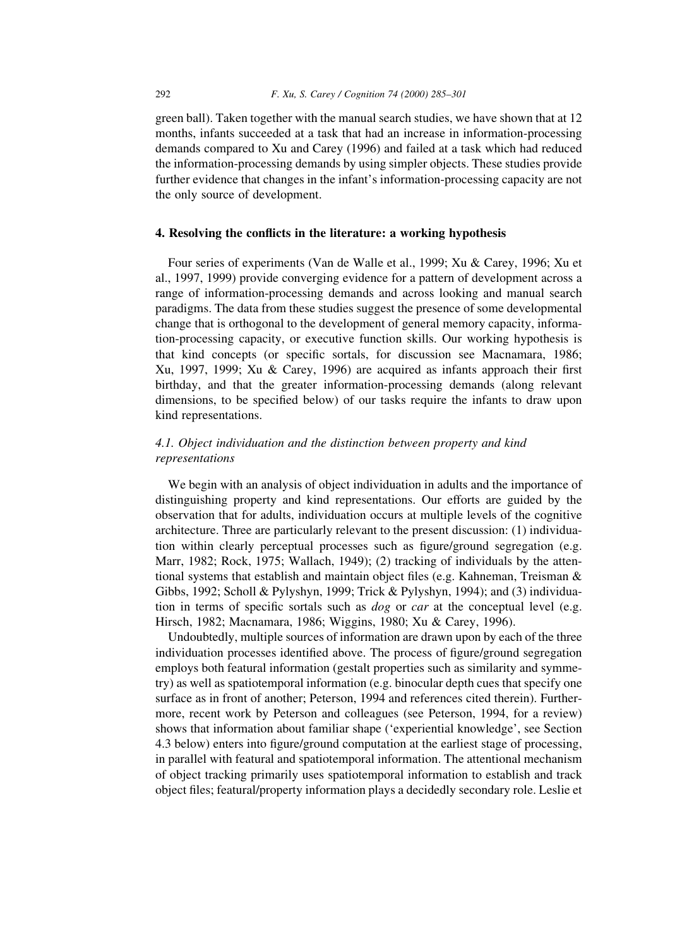green ball). Taken together with the manual search studies, we have shown that at 12 months, infants succeeded at a task that had an increase in information-processing demands compared to Xu and Carey (1996) and failed at a task which had reduced the information-processing demands by using simpler objects. These studies provide further evidence that changes in the infant's information-processing capacity are not the only source of development.

## 4. Resolving the conflicts in the literature: a working hypothesis

Four series of experiments (Van de Walle et al., 1999; Xu & Carey, 1996; Xu et al., 1997, 1999) provide converging evidence for a pattern of development across a range of information-processing demands and across looking and manual search paradigms. The data from these studies suggest the presence of some developmental change that is orthogonal to the development of general memory capacity, information-processing capacity, or executive function skills. Our working hypothesis is that kind concepts (or specific sortals, for discussion see Macnamara, 1986; Xu, 1997, 1999; Xu & Carey, 1996) are acquired as infants approach their first birthday, and that the greater information-processing demands (along relevant dimensions, to be specified below) of our tasks require the infants to draw upon kind representations.

# 4.1. Object individuation and the distinction between property and kind representations

We begin with an analysis of object individuation in adults and the importance of distinguishing property and kind representations. Our efforts are guided by the observation that for adults, individuation occurs at multiple levels of the cognitive architecture. Three are particularly relevant to the present discussion: (1) individuation within clearly perceptual processes such as figure/ground segregation (e.g. Marr, 1982; Rock, 1975; Wallach, 1949); (2) tracking of individuals by the attentional systems that establish and maintain object files (e.g. Kahneman, Treisman  $\&$ Gibbs, 1992; Scholl & Pylyshyn, 1999; Trick & Pylyshyn, 1994); and (3) individuation in terms of specific sortals such as  $\log$  or car at the conceptual level (e.g. Hirsch, 1982; Macnamara, 1986; Wiggins, 1980; Xu & Carey, 1996).

Undoubtedly, multiple sources of information are drawn upon by each of the three individuation processes identified above. The process of figure/ground segregation employs both featural information (gestalt properties such as similarity and symmetry) as well as spatiotemporal information (e.g. binocular depth cues that specify one surface as in front of another; Peterson, 1994 and references cited therein). Furthermore, recent work by Peterson and colleagues (see Peterson, 1994, for a review) shows that information about familiar shape (`experiential knowledge', see Section 4.3 below) enters into figure/ground computation at the earliest stage of processing, in parallel with featural and spatiotemporal information. The attentional mechanism of object tracking primarily uses spatiotemporal information to establish and track object files; featural/property information plays a decidedly secondary role. Leslie et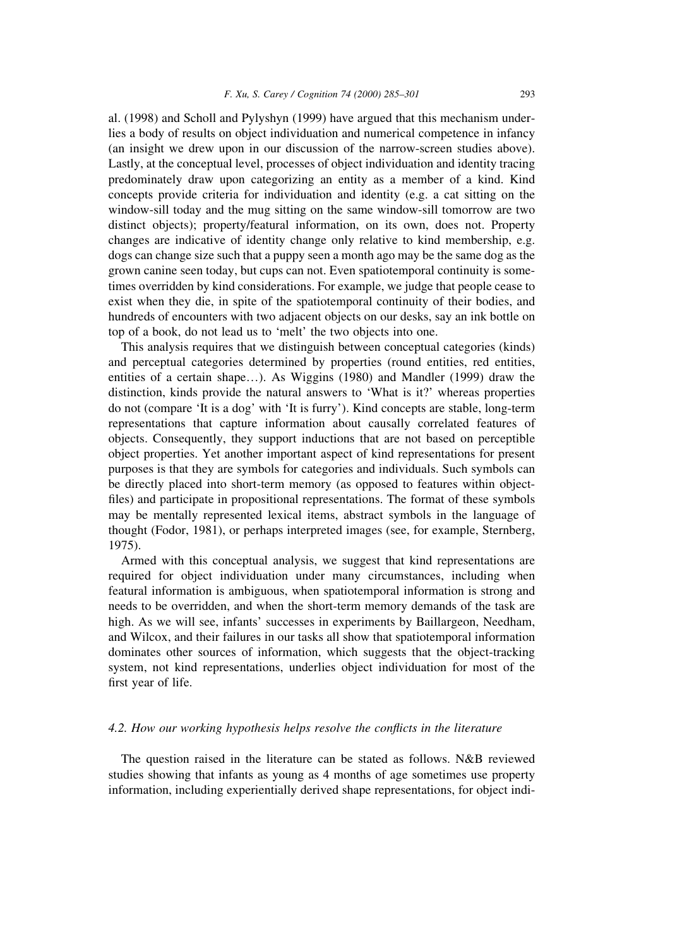al. (1998) and Scholl and Pylyshyn (1999) have argued that this mechanism underlies a body of results on object individuation and numerical competence in infancy (an insight we drew upon in our discussion of the narrow-screen studies above). Lastly, at the conceptual level, processes of object individuation and identity tracing predominately draw upon categorizing an entity as a member of a kind. Kind concepts provide criteria for individuation and identity (e.g. a cat sitting on the window-sill today and the mug sitting on the same window-sill tomorrow are two distinct objects); property/featural information, on its own, does not. Property changes are indicative of identity change only relative to kind membership, e.g. dogs can change size such that a puppy seen a month ago may be the same dog as the grown canine seen today, but cups can not. Even spatiotemporal continuity is sometimes overridden by kind considerations. For example, we judge that people cease to exist when they die, in spite of the spatiotemporal continuity of their bodies, and hundreds of encounters with two adjacent objects on our desks, say an ink bottle on top of a book, do not lead us to `melt' the two objects into one.

This analysis requires that we distinguish between conceptual categories (kinds) and perceptual categories determined by properties (round entities, red entities, entities of a certain shape...). As Wiggins (1980) and Mandler (1999) draw the distinction, kinds provide the natural answers to `What is it?' whereas properties do not (compare `It is a dog' with `It is furry'). Kind concepts are stable, long-term representations that capture information about causally correlated features of objects. Consequently, they support inductions that are not based on perceptible object properties. Yet another important aspect of kind representations for present purposes is that they are symbols for categories and individuals. Such symbols can be directly placed into short-term memory (as opposed to features within object files) and participate in propositional representations. The format of these symbols may be mentally represented lexical items, abstract symbols in the language of thought (Fodor, 1981), or perhaps interpreted images (see, for example, Sternberg, 1975).

Armed with this conceptual analysis, we suggest that kind representations are required for object individuation under many circumstances, including when featural information is ambiguous, when spatiotemporal information is strong and needs to be overridden, and when the short-term memory demands of the task are high. As we will see, infants' successes in experiments by Baillargeon, Needham, and Wilcox, and their failures in our tasks all show that spatiotemporal information dominates other sources of information, which suggests that the object-tracking system, not kind representations, underlies object individuation for most of the first year of life.

#### 4.2. How our working hypothesis helps resolve the conflicts in the literature

The question raised in the literature can be stated as follows. N&B reviewed studies showing that infants as young as 4 months of age sometimes use property information, including experientially derived shape representations, for object indi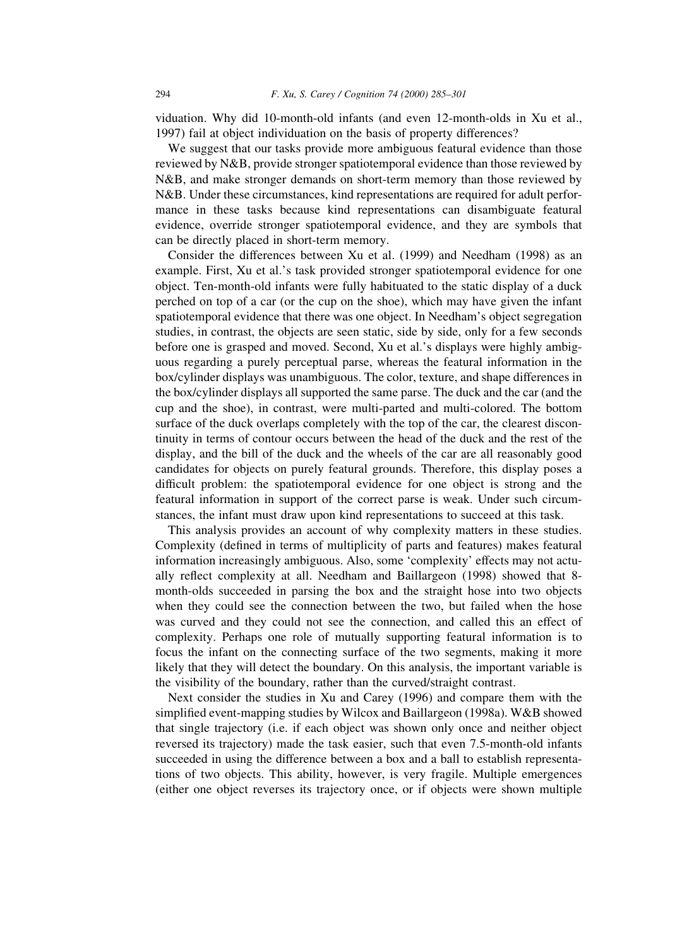viduation. Why did 10-month-old infants (and even 12-month-olds in Xu et al., 1997) fail at object individuation on the basis of property differences?

We suggest that our tasks provide more ambiguous featural evidence than those reviewed by N&B, provide stronger spatiotemporal evidence than those reviewed by N&B, and make stronger demands on short-term memory than those reviewed by N&B. Under these circumstances, kind representations are required for adult performance in these tasks because kind representations can disambiguate featural evidence, override stronger spatiotemporal evidence, and they are symbols that can be directly placed in short-term memory.

Consider the differences between Xu et al. (1999) and Needham (1998) as an example. First, Xu et al.'s task provided stronger spatiotemporal evidence for one object. Ten-month-old infants were fully habituated to the static display of a duck perched on top of a car (or the cup on the shoe), which may have given the infant spatiotemporal evidence that there was one object. In Needham's object segregation studies, in contrast, the objects are seen static, side by side, only for a few seconds before one is grasped and moved. Second, Xu et al.'s displays were highly ambiguous regarding a purely perceptual parse, whereas the featural information in the box/cylinder displays was unambiguous. The color, texture, and shape differences in the box/cylinder displays all supported the same parse. The duck and the car (and the cup and the shoe), in contrast, were multi-parted and multi-colored. The bottom surface of the duck overlaps completely with the top of the car, the clearest discontinuity in terms of contour occurs between the head of the duck and the rest of the display, and the bill of the duck and the wheels of the car are all reasonably good candidates for objects on purely featural grounds. Therefore, this display poses a difficult problem: the spatiotemporal evidence for one object is strong and the featural information in support of the correct parse is weak. Under such circumstances, the infant must draw upon kind representations to succeed at this task.

This analysis provides an account of why complexity matters in these studies. Complexity (defined in terms of multiplicity of parts and features) makes featural information increasingly ambiguous. Also, some 'complexity' effects may not actually reflect complexity at all. Needham and Baillargeon (1998) showed that 8month-olds succeeded in parsing the box and the straight hose into two objects when they could see the connection between the two, but failed when the hose was curved and they could not see the connection, and called this an effect of complexity. Perhaps one role of mutually supporting featural information is to focus the infant on the connecting surface of the two segments, making it more likely that they will detect the boundary. On this analysis, the important variable is the visibility of the boundary, rather than the curved/straight contrast.

Next consider the studies in Xu and Carey (1996) and compare them with the simplified event-mapping studies by Wilcox and Baillargeon (1998a). W&B showed that single trajectory (i.e. if each object was shown only once and neither object reversed its trajectory) made the task easier, such that even 7.5-month-old infants succeeded in using the difference between a box and a ball to establish representations of two objects. This ability, however, is very fragile. Multiple emergences (either one object reverses its trajectory once, or if objects were shown multiple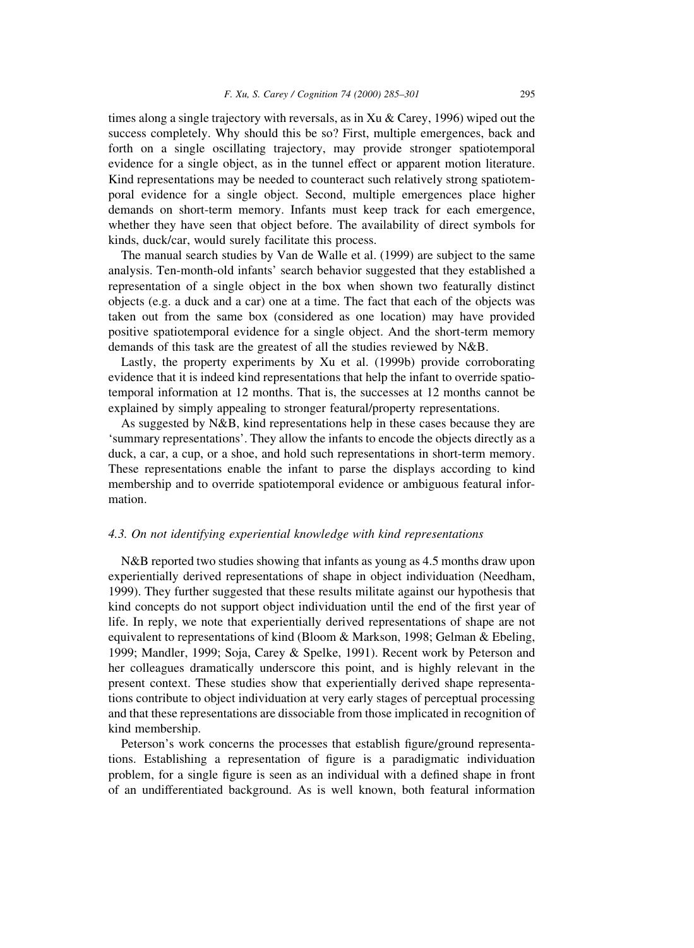times along a single trajectory with reversals, as in Xu  $&$  Carey, 1996) wiped out the success completely. Why should this be so? First, multiple emergences, back and forth on a single oscillating trajectory, may provide stronger spatiotemporal evidence for a single object, as in the tunnel effect or apparent motion literature. Kind representations may be needed to counteract such relatively strong spatiotemporal evidence for a single object. Second, multiple emergences place higher demands on short-term memory. Infants must keep track for each emergence, whether they have seen that object before. The availability of direct symbols for kinds, duck/car, would surely facilitate this process.

The manual search studies by Van de Walle et al. (1999) are subject to the same analysis. Ten-month-old infants' search behavior suggested that they established a representation of a single object in the box when shown two featurally distinct objects (e.g. a duck and a car) one at a time. The fact that each of the objects was taken out from the same box (considered as one location) may have provided positive spatiotemporal evidence for a single object. And the short-term memory demands of this task are the greatest of all the studies reviewed by N&B.

Lastly, the property experiments by Xu et al. (1999b) provide corroborating evidence that it is indeed kind representations that help the infant to override spatiotemporal information at 12 months. That is, the successes at 12 months cannot be explained by simply appealing to stronger featural/property representations.

As suggested by N&B, kind representations help in these cases because they are `summary representations'. They allow the infants to encode the objects directly as a duck, a car, a cup, or a shoe, and hold such representations in short-term memory. These representations enable the infant to parse the displays according to kind membership and to override spatiotemporal evidence or ambiguous featural information.

## 4.3. On not identifying experiential knowledge with kind representations

N&B reported two studies showing that infants as young as 4.5 months draw upon experientially derived representations of shape in object individuation (Needham, 1999). They further suggested that these results militate against our hypothesis that kind concepts do not support object individuation until the end of the first year of life. In reply, we note that experientially derived representations of shape are not equivalent to representations of kind (Bloom & Markson, 1998; Gelman & Ebeling, 1999; Mandler, 1999; Soja, Carey & Spelke, 1991). Recent work by Peterson and her colleagues dramatically underscore this point, and is highly relevant in the present context. These studies show that experientially derived shape representations contribute to object individuation at very early stages of perceptual processing and that these representations are dissociable from those implicated in recognition of kind membership.

Peterson's work concerns the processes that establish figure/ground representations. Establishing a representation of figure is a paradigmatic individuation problem, for a single figure is seen as an individual with a defined shape in front of an undifferentiated background. As is well known, both featural information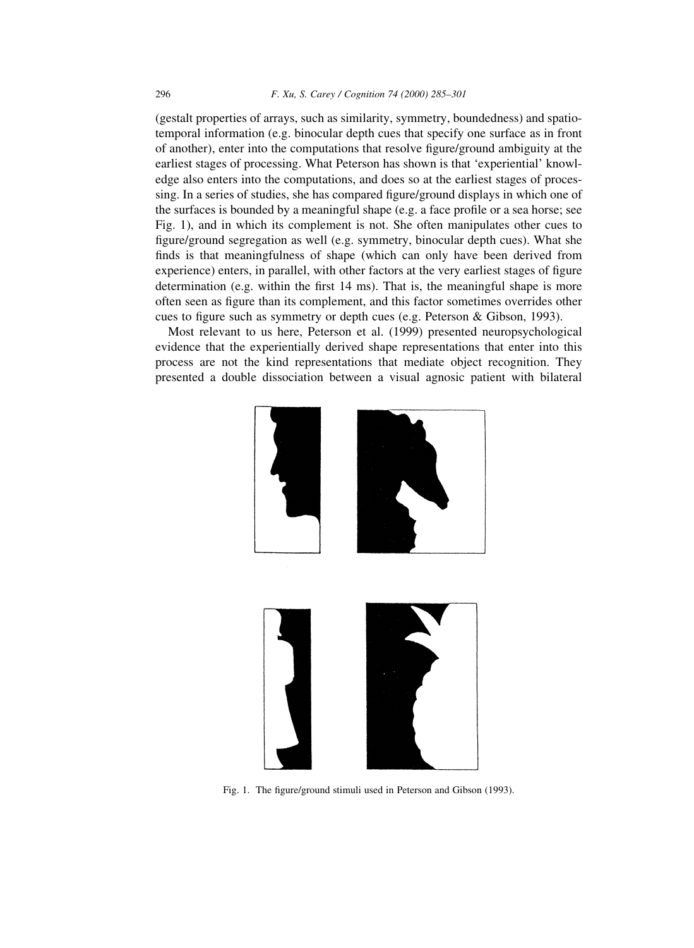(gestalt properties of arrays, such as similarity, symmetry, boundedness) and spatiotemporal information (e.g. binocular depth cues that specify one surface as in front of another), enter into the computations that resolve figure/ground ambiguity at the earliest stages of processing. What Peterson has shown is that `experiential' knowledge also enters into the computations, and does so at the earliest stages of processing. In a series of studies, she has compared figure/ground displays in which one of the surfaces is bounded by a meaningful shape (e.g. a face profile or a sea horse; see Fig. 1), and in which its complement is not. She often manipulates other cues to figure/ground segregation as well (e.g. symmetry, binocular depth cues). What she finds is that meaningfulness of shape (which can only have been derived from experience) enters, in parallel, with other factors at the very earliest stages of figure determination (e.g. within the first  $14 \text{ ms}$ ). That is, the meaningful shape is more often seen as figure than its complement, and this factor sometimes overrides other cues to figure such as symmetry or depth cues (e.g. Peterson & Gibson, 1993).

Most relevant to us here, Peterson et al. (1999) presented neuropsychological evidence that the experientially derived shape representations that enter into this process are not the kind representations that mediate object recognition. They presented a double dissociation between a visual agnosic patient with bilateral



Fig. 1. The figure/ground stimuli used in Peterson and Gibson (1993).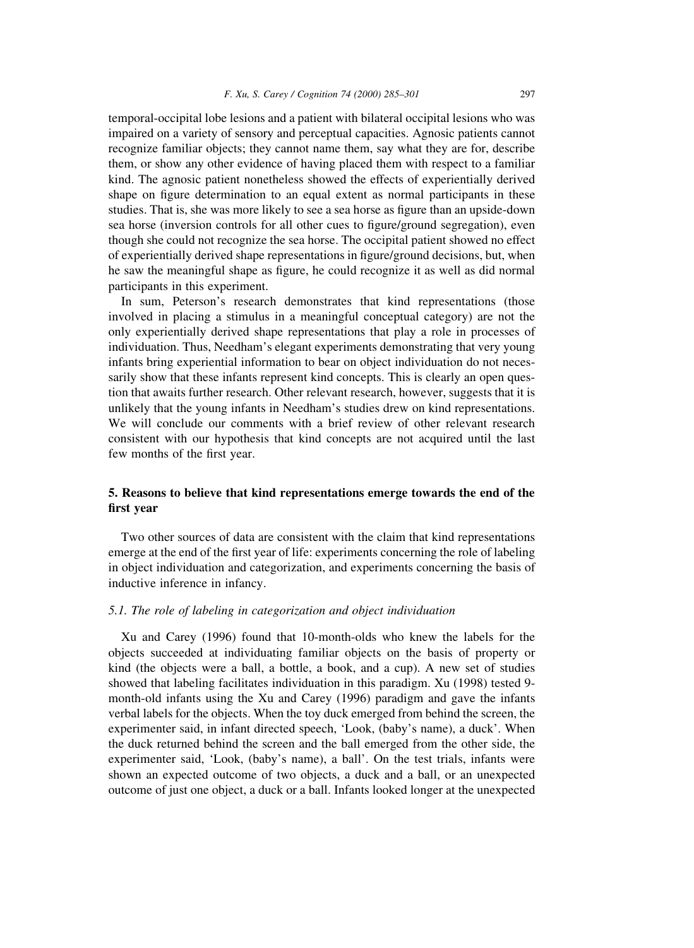temporal-occipital lobe lesions and a patient with bilateral occipital lesions who was impaired on a variety of sensory and perceptual capacities. Agnosic patients cannot recognize familiar objects; they cannot name them, say what they are for, describe them, or show any other evidence of having placed them with respect to a familiar kind. The agnosic patient nonetheless showed the effects of experientially derived shape on figure determination to an equal extent as normal participants in these studies. That is, she was more likely to see a sea horse as figure than an upside-down sea horse (inversion controls for all other cues to figure/ground segregation), even though she could not recognize the sea horse. The occipital patient showed no effect of experientially derived shape representations in figure/ground decisions, but, when he saw the meaningful shape as figure, he could recognize it as well as did normal participants in this experiment.

In sum, Peterson's research demonstrates that kind representations (those involved in placing a stimulus in a meaningful conceptual category) are not the only experientially derived shape representations that play a role in processes of individuation. Thus, Needham's elegant experiments demonstrating that very young infants bring experiential information to bear on object individuation do not necessarily show that these infants represent kind concepts. This is clearly an open question that awaits further research. Other relevant research, however, suggests that it is unlikely that the young infants in Needham's studies drew on kind representations. We will conclude our comments with a brief review of other relevant research consistent with our hypothesis that kind concepts are not acquired until the last few months of the first year.

## 5. Reasons to believe that kind representations emerge towards the end of the first year

Two other sources of data are consistent with the claim that kind representations emerge at the end of the first year of life: experiments concerning the role of labeling in object individuation and categorization, and experiments concerning the basis of inductive inference in infancy.

## 5.1. The role of labeling in categorization and object individuation

Xu and Carey (1996) found that 10-month-olds who knew the labels for the objects succeeded at individuating familiar objects on the basis of property or kind (the objects were a ball, a bottle, a book, and a cup). A new set of studies showed that labeling facilitates individuation in this paradigm. Xu (1998) tested 9 month-old infants using the Xu and Carey (1996) paradigm and gave the infants verbal labels for the objects. When the toy duck emerged from behind the screen, the experimenter said, in infant directed speech, `Look, (baby's name), a duck'. When the duck returned behind the screen and the ball emerged from the other side, the experimenter said, `Look, (baby's name), a ball'. On the test trials, infants were shown an expected outcome of two objects, a duck and a ball, or an unexpected outcome of just one object, a duck or a ball. Infants looked longer at the unexpected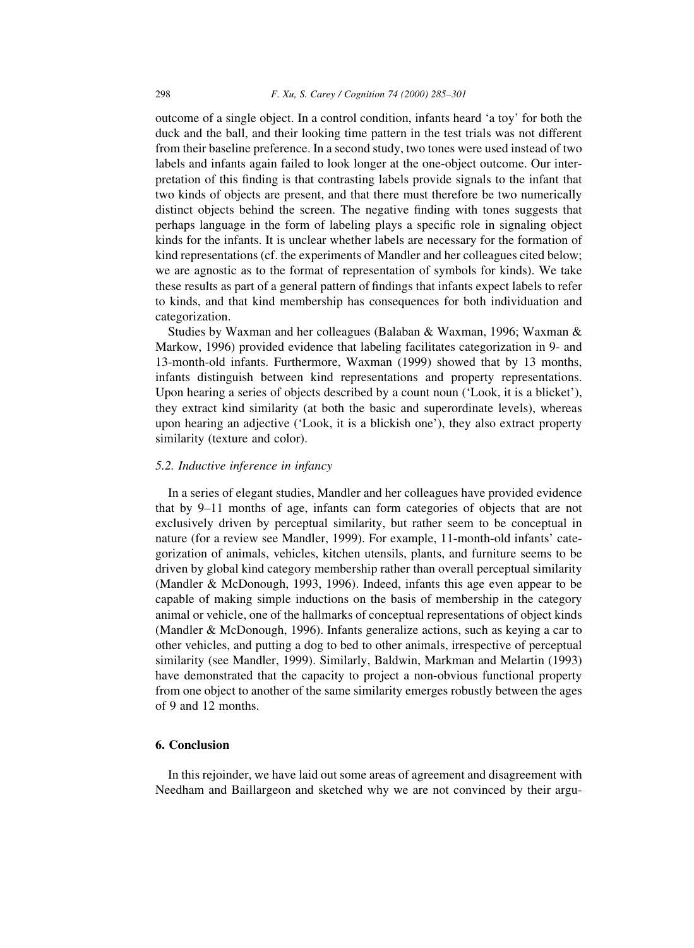outcome of a single object. In a control condition, infants heard `a toy' for both the duck and the ball, and their looking time pattern in the test trials was not different from their baseline preference. In a second study, two tones were used instead of two labels and infants again failed to look longer at the one-object outcome. Our interpretation of this finding is that contrasting labels provide signals to the infant that two kinds of objects are present, and that there must therefore be two numerically distinct objects behind the screen. The negative finding with tones suggests that perhaps language in the form of labeling plays a specific role in signaling object kinds for the infants. It is unclear whether labels are necessary for the formation of kind representations (cf. the experiments of Mandler and her colleagues cited below; we are agnostic as to the format of representation of symbols for kinds). We take these results as part of a general pattern of findings that infants expect labels to refer to kinds, and that kind membership has consequences for both individuation and categorization.

Studies by Waxman and her colleagues (Balaban & Waxman, 1996; Waxman & Markow, 1996) provided evidence that labeling facilitates categorization in 9- and 13-month-old infants. Furthermore, Waxman (1999) showed that by 13 months, infants distinguish between kind representations and property representations. Upon hearing a series of objects described by a count noun (`Look, it is a blicket'), they extract kind similarity (at both the basic and superordinate levels), whereas upon hearing an adjective (`Look, it is a blickish one'), they also extract property similarity (texture and color).

## 5.2. Inductive inference in infancy

In a series of elegant studies, Mandler and her colleagues have provided evidence that by  $9-11$  months of age, infants can form categories of objects that are not exclusively driven by perceptual similarity, but rather seem to be conceptual in nature (for a review see Mandler, 1999). For example, 11-month-old infants' categorization of animals, vehicles, kitchen utensils, plants, and furniture seems to be driven by global kind category membership rather than overall perceptual similarity (Mandler & McDonough, 1993, 1996). Indeed, infants this age even appear to be capable of making simple inductions on the basis of membership in the category animal or vehicle, one of the hallmarks of conceptual representations of object kinds (Mandler & McDonough, 1996). Infants generalize actions, such as keying a car to other vehicles, and putting a dog to bed to other animals, irrespective of perceptual similarity (see Mandler, 1999). Similarly, Baldwin, Markman and Melartin (1993) have demonstrated that the capacity to project a non-obvious functional property from one object to another of the same similarity emerges robustly between the ages of 9 and 12 months.

## 6. Conclusion

In this rejoinder, we have laid out some areas of agreement and disagreement with Needham and Baillargeon and sketched why we are not convinced by their argu-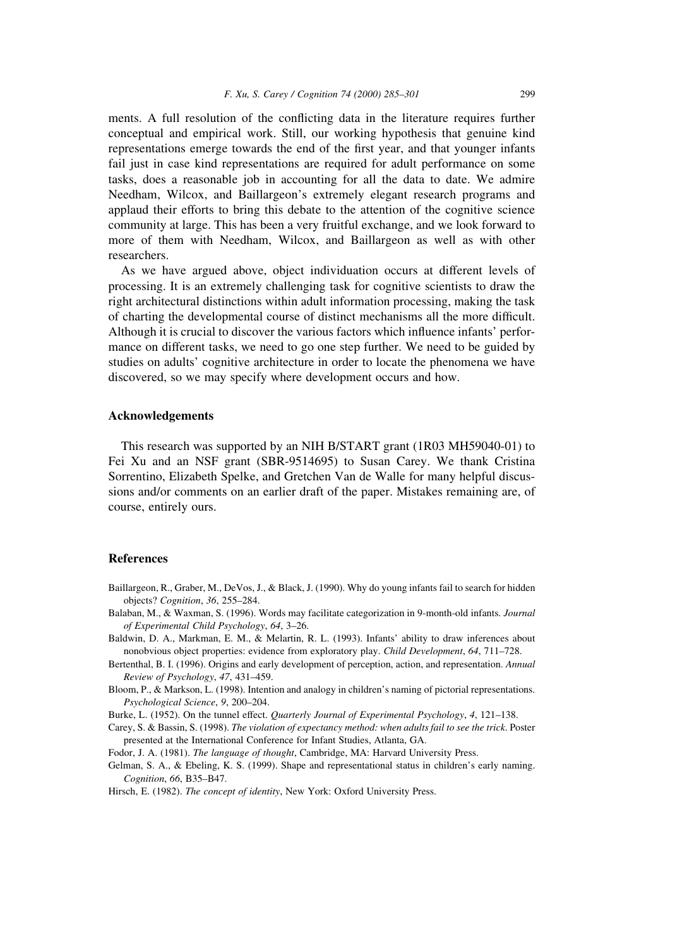ments. A full resolution of the conflicting data in the literature requires further conceptual and empirical work. Still, our working hypothesis that genuine kind representations emerge towards the end of the first year, and that younger infants fail just in case kind representations are required for adult performance on some tasks, does a reasonable job in accounting for all the data to date. We admire Needham, Wilcox, and Baillargeon's extremely elegant research programs and applaud their efforts to bring this debate to the attention of the cognitive science community at large. This has been a very fruitful exchange, and we look forward to more of them with Needham, Wilcox, and Baillargeon as well as with other researchers.

As we have argued above, object individuation occurs at different levels of processing. It is an extremely challenging task for cognitive scientists to draw the right architectural distinctions within adult information processing, making the task of charting the developmental course of distinct mechanisms all the more difficult. Although it is crucial to discover the various factors which influence infants' performance on different tasks, we need to go one step further. We need to be guided by studies on adults' cognitive architecture in order to locate the phenomena we have discovered, so we may specify where development occurs and how.

#### Acknowledgements

This research was supported by an NIH B/START grant (1R03 MH59040-01) to Fei Xu and an NSF grant (SBR-9514695) to Susan Carey. We thank Cristina Sorrentino, Elizabeth Spelke, and Gretchen Van de Walle for many helpful discussions and/or comments on an earlier draft of the paper. Mistakes remaining are, of course, entirely ours.

## References

- Baillargeon, R., Graber, M., DeVos, J., & Black, J. (1990). Why do young infants fail to search for hidden objects? Cognition, 36, 255-284.
- Balaban, M., & Waxman, S. (1996). Words may facilitate categorization in 9-month-old infants. Journal of Experimental Child Psychology, 64, 3-26.
- Baldwin, D. A., Markman, E. M., & Melartin, R. L. (1993). Infants' ability to draw inferences about nonobvious object properties: evidence from exploratory play. Child Development, 64, 711–728.
- Bertenthal, B. I. (1996). Origins and early development of perception, action, and representation. Annual Review of Psychology, 47, 431-459.
- Bloom, P., & Markson, L. (1998). Intention and analogy in children's naming of pictorial representations. Psychological Science, 9, 200-204.
- Burke, L. (1952). On the tunnel effect. Quarterly Journal of Experimental Psychology, 4, 121-138.
- Carey, S. & Bassin, S. (1998). The violation of expectancy method: when adults fail to see the trick. Poster presented at the International Conference for Infant Studies, Atlanta, GA.
- Fodor, J. A. (1981). The language of thought, Cambridge, MA: Harvard University Press.
- Gelman, S. A., & Ebeling, K. S. (1999). Shape and representational status in children's early naming. Cognition, 66, B35-B47.
- Hirsch, E. (1982). The concept of identity, New York: Oxford University Press.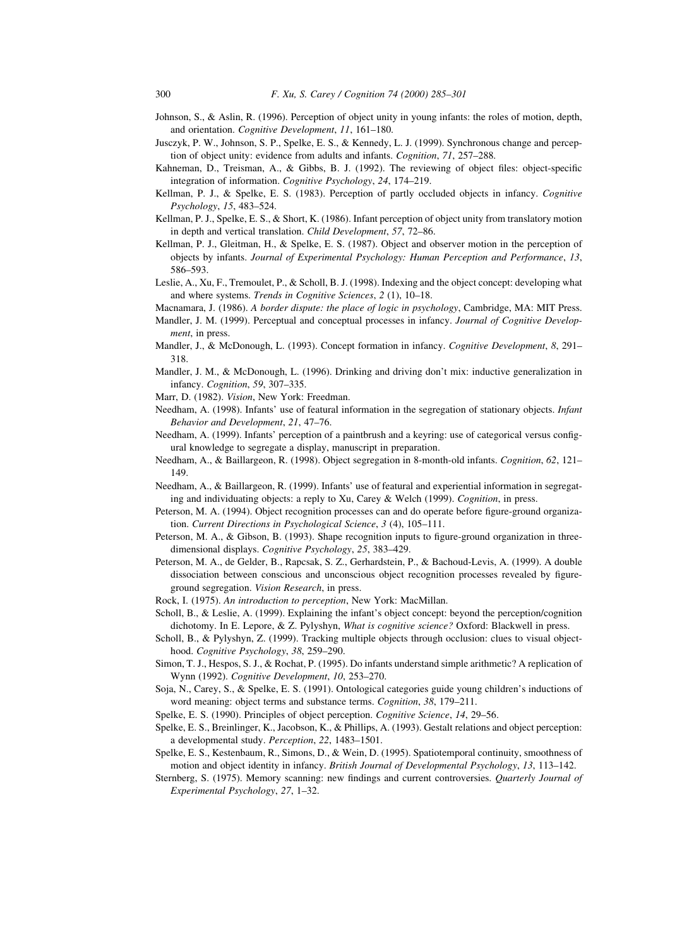- Johnson, S., & Aslin, R. (1996). Perception of object unity in young infants: the roles of motion, depth, and orientation. Cognitive Development, 11, 161-180.
- Jusczyk, P. W., Johnson, S. P., Spelke, E. S., & Kennedy, L. J. (1999). Synchronous change and perception of object unity: evidence from adults and infants. *Cognition*, 71, 257–288.
- Kahneman, D., Treisman, A., & Gibbs, B. J. (1992). The reviewing of object files: object-specific integration of information. Cognitive Psychology, 24, 174-219.
- Kellman, P. J., & Spelke, E. S. (1983). Perception of partly occluded objects in infancy. Cognitive Psychology, 15, 483-524.
- Kellman, P. J., Spelke, E. S., & Short, K. (1986). Infant perception of object unity from translatory motion in depth and vertical translation. Child Development, 57, 72-86.
- Kellman, P. J., Gleitman, H., & Spelke, E. S. (1987). Object and observer motion in the perception of objects by infants. Journal of Experimental Psychology: Human Perception and Performance, 13, 586±593.
- Leslie, A., Xu, F., Tremoulet, P., & Scholl, B. J. (1998). Indexing and the object concept: developing what and where systems. Trends in Cognitive Sciences,  $2(1)$ ,  $10-18$ .
- Macnamara, J. (1986). A border dispute: the place of logic in psychology, Cambridge, MA: MIT Press.
- Mandler, J. M. (1999). Perceptual and conceptual processes in infancy. Journal of Cognitive Development, in press.
- Mandler, J., & McDonough, L. (1993). Concept formation in infancy. Cognitive Development, 8, 291-318.
- Mandler, J. M., & McDonough, L. (1996). Drinking and driving don't mix: inductive generalization in infancy. Cognition, 59, 307-335.
- Marr, D. (1982). Vision, New York: Freedman.
- Needham, A. (1998). Infants' use of featural information in the segregation of stationary objects. Infant Behavior and Development, 21, 47-76.
- Needham, A. (1999). Infants' perception of a paintbrush and a keyring: use of categorical versus configural knowledge to segregate a display, manuscript in preparation.
- Needham, A., & Baillargeon, R. (1998). Object segregation in 8-month-old infants. Cognition, 62, 121-149.
- Needham, A., & Baillargeon, R. (1999). Infants' use of featural and experiential information in segregating and individuating objects: a reply to Xu, Carey & Welch (1999). Cognition, in press.
- Peterson, M. A. (1994). Object recognition processes can and do operate before figure-ground organization. Current Directions in Psychological Science,  $3$  (4), 105-111.
- Peterson, M. A., & Gibson, B. (1993). Shape recognition inputs to figure-ground organization in threedimensional displays. Cognitive Psychology, 25, 383-429.
- Peterson, M. A., de Gelder, B., Rapcsak, S. Z., Gerhardstein, P., & Bachoud-Levis, A. (1999). A double dissociation between conscious and unconscious object recognition processes revealed by figureground segregation. Vision Research, in press.
- Rock, I. (1975). An introduction to perception, New York: MacMillan.
- Scholl, B., & Leslie, A. (1999). Explaining the infant's object concept: beyond the perception/cognition dichotomy. In E. Lepore, & Z. Pylyshyn, What is cognitive science? Oxford: Blackwell in press.
- Scholl, B., & Pylyshyn, Z. (1999). Tracking multiple objects through occlusion: clues to visual objecthood. Cognitive Psychology, 38, 259-290.
- Simon, T. J., Hespos, S. J., & Rochat, P. (1995). Do infants understand simple arithmetic? A replication of Wynn (1992). Cognitive Development, 10, 253-270.
- Soja, N., Carey, S., & Spelke, E. S. (1991). Ontological categories guide young children's inductions of word meaning: object terms and substance terms. *Cognition*, 38, 179–211.
- Spelke, E. S. (1990). Principles of object perception. Cognitive Science, 14, 29-56.
- Spelke, E. S., Breinlinger, K., Jacobson, K., & Phillips, A. (1993). Gestalt relations and object perception: a developmental study. Perception, 22, 1483-1501.
- Spelke, E. S., Kestenbaum, R., Simons, D., & Wein, D. (1995). Spatiotemporal continuity, smoothness of motion and object identity in infancy. British Journal of Developmental Psychology, 13, 113-142.
- Sternberg, S. (1975). Memory scanning: new findings and current controversies. Quarterly Journal of Experimental Psychology, 27, 1-32.